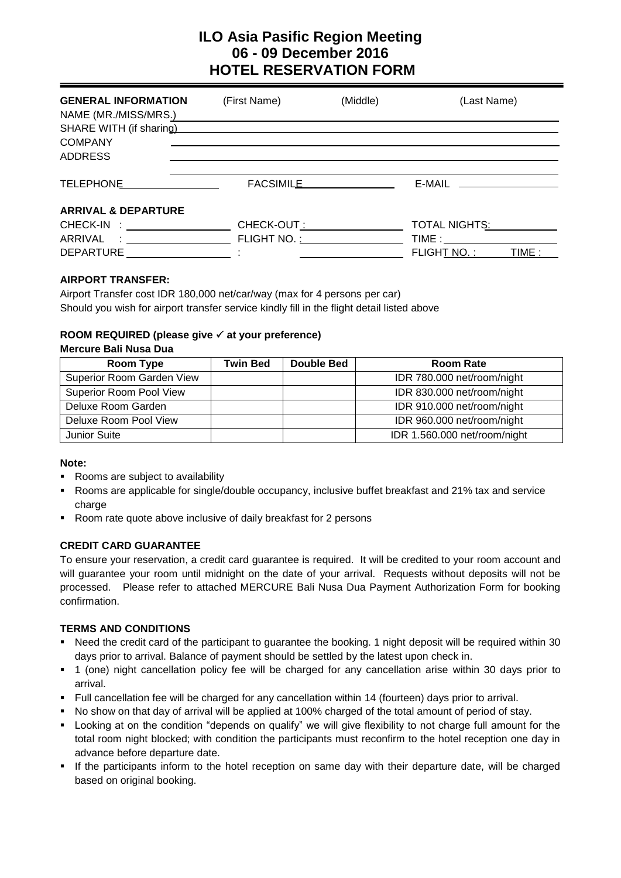# **ILO Asia Pasific Region Meeting 06 - 09 December 2016 HOTEL RESERVATION FORM**

| <b>GENERAL INFORMATION</b><br>NAME (MR./MISS/MRS.) | (First Name)                                                                                                                                                                                                                   | (Middle)  | (Last Name)                 |
|----------------------------------------------------|--------------------------------------------------------------------------------------------------------------------------------------------------------------------------------------------------------------------------------|-----------|-----------------------------|
| SHARE WITH (if sharing)<br><b>COMPANY</b>          |                                                                                                                                                                                                                                |           |                             |
| <b>ADDRESS</b>                                     |                                                                                                                                                                                                                                |           |                             |
| TELEPHONE                                          |                                                                                                                                                                                                                                | FACSIMILE | E-MAIL ____________________ |
| <b>ARRIVAL &amp; DEPARTURE</b>                     |                                                                                                                                                                                                                                |           |                             |
|                                                    | CHECK-OUT:                                                                                                                                                                                                                     |           | TOTAL NIGHTS:               |
|                                                    | FLIGHT NO. : THE TRANSPORTED THAT THE TRANSPORTED THAT THE TRANSPORTED THAT THE TRANSPORTED THAT THE TRANSPORTED THAT THE TRANSPORTED THAT THE TRANSPORTED THAT THE TRANSPORTED THAT THE TRANSPORTED THAT THE TRANSPORTED THAT |           |                             |
| DEPARTURE                                          |                                                                                                                                                                                                                                |           | FLIGHT NO.:<br>TIME :       |

## **AIRPORT TRANSFER:**

Airport Transfer cost IDR 180,000 net/car/way (max for 4 persons per car) Should you wish for airport transfer service kindly fill in the flight detail listed above

## **ROOM REQUIRED (please give at your preference)**

### **Mercure Bali Nusa Dua**

| Room Type                      | Twin Bed | Double Bed | <b>Room Rate</b>             |
|--------------------------------|----------|------------|------------------------------|
| Superior Room Garden View      |          |            | IDR 780.000 net/room/night   |
| <b>Superior Room Pool View</b> |          |            | IDR 830.000 net/room/night   |
| Deluxe Room Garden             |          |            | IDR 910.000 net/room/night   |
| Deluxe Room Pool View          |          |            | IDR 960.000 net/room/night   |
| <b>Junior Suite</b>            |          |            | IDR 1.560.000 net/room/night |

#### **Note:**

- Rooms are subject to availability
- Rooms are applicable for single/double occupancy, inclusive buffet breakfast and 21% tax and service charge
- Room rate quote above inclusive of daily breakfast for 2 persons

## **CREDIT CARD GUARANTEE**

To ensure your reservation, a credit card guarantee is required. It will be credited to your room account and will guarantee your room until midnight on the date of your arrival. Requests without deposits will not be processed. Please refer to attached MERCURE Bali Nusa Dua Payment Authorization Form for booking confirmation.

## **TERMS AND CONDITIONS**

- Need the credit card of the participant to guarantee the booking. 1 night deposit will be required within 30 days prior to arrival. Balance of payment should be settled by the latest upon check in.
- 1 (one) night cancellation policy fee will be charged for any cancellation arise within 30 days prior to arrival.
- Full cancellation fee will be charged for any cancellation within 14 (fourteen) days prior to arrival.
- No show on that day of arrival will be applied at 100% charged of the total amount of period of stay.
- Looking at on the condition "depends on qualify" we will give flexibility to not charge full amount for the total room night blocked; with condition the participants must reconfirm to the hotel reception one day in advance before departure date.
- If the participants inform to the hotel reception on same day with their departure date, will be charged based on original booking.